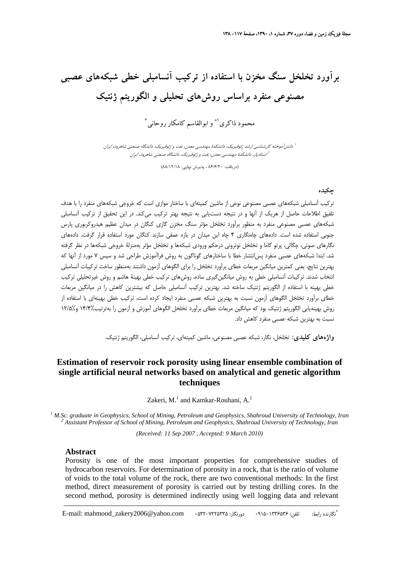# **برآورد تخلخل سنگ مخزن با استفاده از تركيب آنسامبلي خطي شبكههاي عصبي مصنوعي منفرد براساس روشهاي تحليلي و الگوريتم ژنتيك**

محمود ذاكري <sup>(\*</sup> و ابوالقاسم كامكار روحاني <sup>٢</sup>

آموخته كارشناسي ارشد ژئوفيزيك، دانشكدة مهندسي معدن، نفت <sup>و</sup> ژئوفيزيك، دانشگاه صنعتي شاهرود، ايران <sup>1</sup> دانش استاديار، دانشكدة مهندسي معدن، نفت <sup>و</sup> ژئوفيزيك، دانشگاه صنعتي شاهرود، ايران <sup>2</sup>

(دريافت: 86/6/20 ، پذيرش نهايي: 88/12/18)

### **چكيده**

تركيب آنسامبلي شبكههاي عصبي مصنوعي نوعي از ماشين كميتهاي با ساختار موازي است كه خروجي شبكههاي منفرد را با هدف تلفيق اطلاعات حاصل از هريك از آنها و در نتيجه دستيابي به نتيجه بهتر تركيب ميكند. در اين تحقيق از تركيب آنسامبلي شبكههاي عصبي مصنوعي منفرد به منظور برآورد تخلخل مؤثر سنگ مخزن گازي كنگان در ميدان عظيم هيدروكربوري پارس جنوبي استفاده شده است. دادههاي چاهنگاري 4 چاه اين ميدان در بازه عمقي سازند كنگان مورد استفاده قرار گرفت. دادههاي نگارهاي صوتي، چگالي، پرتو گاما و تخلخل نوتروني درحكم ورودي شبكهها و تخلخل مؤثر بهمنزلة خروجي شبكهها در نظر گرفته شد. ابتدا شبكههاي عصبي منفرد پسانتشار خطا با ساختارهاي گوناگون به روش فراآموزش طراحي شد و سپس 7 مورد از آنها كه بهترين نتايج، يعني كمترين ميانگين مربعات خطاي برآورد تخلخل را براي الگوهاي آزمون داشتند بهمنظور ساخت تركيبات آنسامبلي انتخاب شدند. تركيبات آنسامبلي خطي به روش ميانگينگيري ساده، روشهاي تركيب خطي بهينة هاشم و روش غيرتحليلي تركيب خطي بهينه با استفاده از الگوريتم ژنتيك ساخته شد. بهترين تركيب آنسامبلي حاصل كه بيشترين كاهش را در ميانگين مربعات خطاي برآورد تخلخل الگوهاي آزمون نسبت به بهترين شبكه عصبي منفرد ايجاد كرده است، تركيب خطي بهينهاي با استفاده از روش بهينهيابي الگوريتم ژنتيك بود كه ميانگين مربعات خطاي برآورد تخلخل الگوهاي آموزش و آزمون را بهترتيب14/4% و12/5% نسبت به بهترين شبكه عصبي منفرد كاهش داد.

**واژههاي كليدي:** تخلخل، نگار، شبكه عصبي مصنوعي، ماشين كميتهاي، تركيب آنسامبلي، الگوريتم ژنتيك.

## **Estimation of reservoir rock porosity using linear ensemble combination of single artificial neural networks based on analytical and genetic algorithm techniques**

Zakeri, M. $<sup>1</sup>$  and Kamkar-Rouhani, A. $<sup>2</sup>$ </sup></sup>

<sup>1</sup> M.Sc. graduate in Geophysics, School of Mining, Petroleum and Geophysics, Shahroud University of Technology, Iran <sup>2</sup> Aggistant Brofesson of School of Mining, Betroleum and Geophysics, Shahroud University of Technology  *Assistant Professor of School of Mining, Petroleum and Geophysics, Shahroud University of Technology, Iran* 

*(Received: 11 Sep 2007 , Accepted: 9 March 2010)*

#### **Abstract**

Porosity is one of the most important properties for comprehensive studies of hydrocarbon reservoirs. For determination of porosity in a rock, that is the ratio of volume of voids to the total volume of the rock, there are two conventional methods: In the first method, direct measurement of porosity is carried out by testing drilling cores. In the second method, porosity is determined indirectly using well logging data and relevant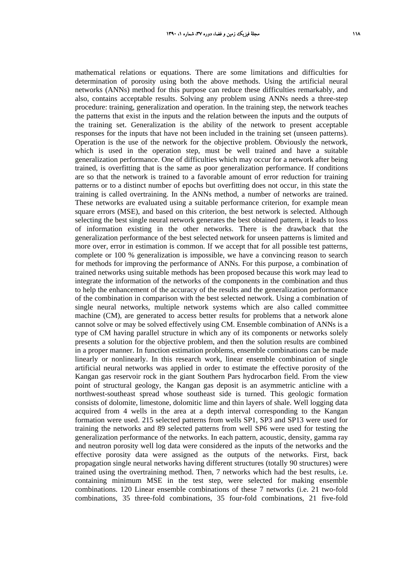mathematical relations or equations. There are some limitations and difficulties for determination of porosity using both the above methods. Using the artificial neural networks (ANNs) method for this purpose can reduce these difficulties remarkably, and also, contains acceptable results. Solving any problem using ANNs needs a three-step procedure: training, generalization and operation. In the training step, the network teaches the patterns that exist in the inputs and the relation between the inputs and the outputs of the training set. Generalization is the ability of the network to present acceptable responses for the inputs that have not been included in the training set (unseen patterns). Operation is the use of the network for the objective problem. Obviously the network, which is used in the operation step, must be well trained and have a suitable generalization performance. One of difficulties which may occur for a network after being trained, is overfitting that is the same as poor generalization performance. If conditions are so that the network is trained to a favorable amount of error reduction for training patterns or to a distinct number of epochs but overfitting does not occur, in this state the training is called overtraining. In the ANNs method, a number of networks are trained. These networks are evaluated using a suitable performance criterion, for example mean square errors (MSE), and based on this criterion, the best network is selected. Although selecting the best single neural network generates the best obtained pattern, it leads to loss of information existing in the other networks. There is the drawback that the generalization performance of the best selected network for unseen patterns is limited and more over, error in estimation is common. If we accept that for all possible test patterns, complete or 100 % generalization is impossible, we have a convincing reason to search for methods for improving the performance of ANNs. For this purpose, a combination of trained networks using suitable methods has been proposed because this work may lead to integrate the information of the networks of the components in the combination and thus to help the enhancement of the accuracy of the results and the generalization performance of the combination in comparison with the best selected network. Using a combination of single neural networks, multiple network systems which are also called committee machine (CM), are generated to access better results for problems that a network alone cannot solve or may be solved effectively using CM. Ensemble combination of ANNs is a type of CM having parallel structure in which any of its components or networks solely presents a solution for the objective problem, and then the solution results are combined in a proper manner. In function estimation problems, ensemble combinations can be made linearly or nonlinearly. In this research work, linear ensemble combination of single artificial neural networks was applied in order to estimate the effective porosity of the Kangan gas reservoir rock in the giant Southern Pars hydrocarbon field. From the view point of structural geology, the Kangan gas deposit is an asymmetric anticline with a northwest-southeast spread whose southeast side is turned. This geologic formation consists of dolomite, limestone, dolomitic lime and thin layers of shale. Well logging data acquired from 4 wells in the area at a depth interval corresponding to the Kangan formation were used. 215 selected patterns from wells SP1, SP3 and SP13 were used for training the networks and 89 selected patterns from well SP6 were used for testing the generalization performance of the networks. In each pattern, acoustic, density, gamma ray and neutron porosity well log data were considered as the inputs of the networks and the effective porosity data were assigned as the outputs of the networks. First, back propagation single neural networks having different structures (totally 90 structures) were trained using the overtraining method. Then, 7 networks which had the best results, i.e. containing minimum MSE in the test step, were selected for making ensemble combinations. 120 Linear ensemble combinations of these 7 networks (i.e. 21 two-fold combinations, 35 three-fold combinations, 35 four-fold combinations, 21 five-fold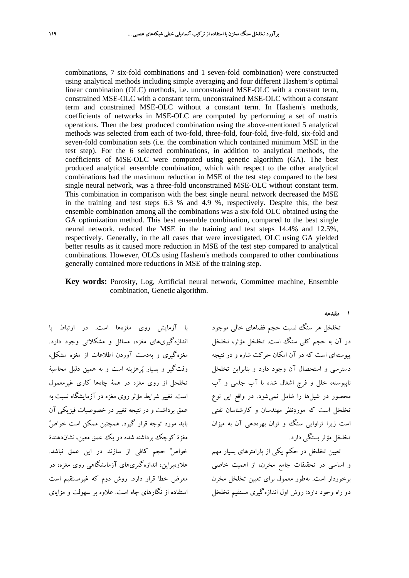combinations, 7 six-fold combinations and 1 seven-fold combination) were constructed using analytical methods including simple averaging and four different Hashem's optimal linear combination (OLC) methods, i.e. unconstrained MSE-OLC with a constant term, constrained MSE-OLC with a constant term, unconstrained MSE-OLC without a constant term and constrained MSE-OLC without a constant term. In Hashem's methods, coefficients of networks in MSE-OLC are computed by performing a set of matrix operations. Then the best produced combination using the above-mentioned 5 analytical methods was selected from each of two-fold, three-fold, four-fold, five-fold, six-fold and seven-fold combination sets (i.e. the combination which contained minimum MSE in the test step). For the 6 selected combinations, in addition to analytical methods, the coefficients of MSE-OLC were computed using genetic algorithm (GA). The best produced analytical ensemble combination, which with respect to the other analytical combinations had the maximum reduction in MSE of the test step compared to the best single neural network, was a three-fold unconstrained MSE-OLC without constant term. This combination in comparison with the best single neural network decreased the MSE in the training and test steps 6.3 % and 4.9 %, respectively. Despite this, the best ensemble combination among all the combinations was a six-fold OLC obtained using the GA optimization method. This best ensemble combination, compared to the best single neural network, reduced the MSE in the training and test steps 14.4% and 12.5%, respectively. Generally, in the all cases that were investigated, OLC using GA yielded better results as it caused more reduction in MSE of the test step compared to analytical combinations. However, OLCs using Hashem's methods compared to other combinations generally contained more reductions in MSE of the training step.

**Key words:** Porosity, Log, Artificial neural network, Committee machine, Ensemble combination, Genetic algorithm.

با آزمايش روي مغزهها است. در ارتباط با اندازهگيريهاي مغزه، مسائل و مشكلاتي وجود دارد. مغزهگيري و بهدست آوردن اطلاعات از مغزه مشكل، وقتگير و بسيار پرهزينه است و به همين دليل محاسبة تخلخل از روي مغزه در همة چاهها كاري غيرمعمول است. تغيير شرايط مؤثر روي مغزه در آزمايشگاه نسبت به عمق برداشت و در نتيجه تغيير در خصوصيات فيزيكي آن بايد مورد توجه قرار گيرد. همچنين ممكن است خواص مغزة كوچك برداشته شده در يك عمق معين، نشاندهندة خواص حجم كافي از سازند در اين عمق نباشد. علاوهبراين، اندازهگيريهاي آزمايشگاهي روي مغزه، در معرض خطا قرار دارد. روش دوم كه غيرمستقيم است استفاده از نگارهاي چاه است. علاوه بر سهولت و مزاياي **1 مقدمه** 

تخلخل هر سنگ نسبت حجم فضاهاي خالي موجود در آن به حجم كلي سنگ است. تخلخل مؤثر، تخلخل پيوستهاي است كه در آن امكان حركت شاره و در نتيجه دسترسي و استحصال آن وجود دارد و بنابراين تخلخل ناپيوسته، خلل و فرج اشغال شده با آب جذبي و آب محصور در شيلها را شامل نميشود. در واقع اين نوع تخلخل است كه موردنظر مهندسان و كارشناسان نفتي است زيرا تراوايي سنگ و توان بهرهدهي آن به ميزان تخلخل مؤثربستگي دارد.

تعيين تخلخل در حكم يكي از پارامترهاي بسيار مهم و اساسي در تحقيقات جامع مخزن، از اهميت خاصي برخوردار است. بهطور معمول براي تعيين تخلخل مخزن دو راه وجود دارد: روش اول اندازهگيري مستقيم تخلخل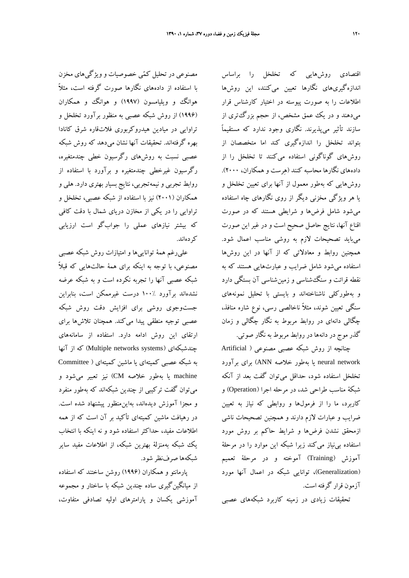مصنوعي در تحليل كمي خصوصيات و ويژگيهاي مخزن با استفاده از دادههاي نگارها صورت گرفته است، مثلاً هوانگ و ويليامسون (1997) و هوانگ و همكاران (1996) از روش شبكه عصبي به منظور برآورد تخلخل و تراوايي در ميادين هيدروكربوري فلاتقاره شرق كانادا بهره گرفتهاند. تحقيقات آنها نشان ميدهد كه روش شبكه عصبي نسبت به روشهاي رگرسيون خطي چندمتغيره، رگرسيون غيرخطي چندمتغيره و برآورد با استفاده از روابط تجربي و نيمهتجربي، نتايج بسيار بهتري دارد. هلي و همكاران (2001) نيز با استفاده از شبكه عصبي، تخلخل و تراوايي را در يكي از مخازن درياي شمال با دقت كافي كه بيشتر نيازهاي عملي را جوابگو است ارزيابي كردهاند.

عليرغم همة تواناييها و امتيازات روش شبكه عصبي مصنوعي، با توجه به اينكه براي همة حالتهايي كه قبلاً شبكه عصبي آنها را تجربه نكرده است و به شبكه عرضه نشدهاند برآورد 100% درست غيرممكن است، بنابراين جستوجوي روشي براي افزايش دقت روش شبكه عصبي توجيه منطقي پيدا ميكند. همچنان تلاشها براي ارتقاي اين روش ادامه دارد. استفاده از سامانههاي چندشبكهای (Multiple networks systems) كه از آنها به شبكه عصبي كميتهاي يا ماشين كميتهاي ( Committee machine يا بهطور خلاصه CM (نيز تعبير ميشود و ميتوان گفت تركيبي از چندين شبكهاند كه بهطور منفرد و مجزا آموزش ديدهاند، بهاينمنظور پيشنهاد شده است. در رهيافت ماشين كميتهاي تأكيد بر آن است كه از همه اطلاعات مفيد، حداكثر استفاده شود و نه اينكه با انتخاب يك شبكه بهمنزلة بهترين شبكه، از اطلاعات مفيد ساير شبكهها صرفنظر شود.

پارمانتو و همكاران (1996) روشن ساختند كه استفاده از ميانگينگيري ساده چندين شبكه با ساختار و مجموعه آموزشي يكسان و پارامترهاي اوليه تصادفي متفاوت،

اقتصادي روشهايي كه تخلخل را براساس اندازهگيريهاي نگارها تعيين ميكنند، اين روشها اطلاعات را به صورت پيوسته در اختيار كارشناس قرار ميدهند و در يك عمق مشخص، از حجم بزرگتري از سازند تأثير ميپذيرند. نگاري وجود ندارد كه مستقيماً بتواند تخلخل را اندازهگيري كند اما متخصصان از روشهاي گوناگوني استفاده ميكنند تا تخلخل را از دادههاي نگارها محاسبه كنند (هرست و همكاران، 2000). روشهايي كه بهطور معمول از آنها براي تعيين تخلخل و يا هر ويژگي مخزني ديگر از روي نگارهاي چاه استفاده ميشود شامل فرضها و شرايطي هستند كه در صورت اقناع آنها، نتايج حاصل صحيح است و در غير اين صورت ميبايد تصحيحات لازم به روشي مناسب اعمال شود. همچنين روابط و معادلاتي كه از آنها در اين روشها استفاده ميشود شامل ضرايب و عبارتهايي هستند كه به نقطه قرائت و سنگشناسي و زمينشناسي آن بستگي دارد و بهطوركلي ناشناختهاند و بايستي با تحليل نمونههاي سنگي تعيين شوند، مثلاً ناخالصي رسي، نوع شاره منافذ، چگالي دانهاي در روابط مربوط به نگار چگالي و زمان گذر موج در دانهها در روابط مربوط به نگار صوتي.

چنانچه از روش شبكه عصبي مصنوعي ( Artificial network neural يا بهطور خلاصه ANN (براي برآورد تخلخل استفاده شود، حداقل ميتوان گفت بعد از آنكه شبكة مناسب طراحي شد، در مرحله اجرا (Operation (و كاربرد، ما را از فرمولها و روابطي كه نياز به تعيين ضرايب و عبارات لازم دارند و همچنين تصحيحات ناشي ازمحقق نشدن فرضها و شرايط حاكم بر روش مورد استفاده بينياز ميكند زيرا شبكه اين موارد را در مرحلة آموزش (Training (آموخته و در مرحلة تعميم (Generalization(، توانايي شبكه در اعمال آنها مورد آزمون قرار گرفته است.

تحقيقات زيادي در زمينه كاربرد شبكههاي عصبي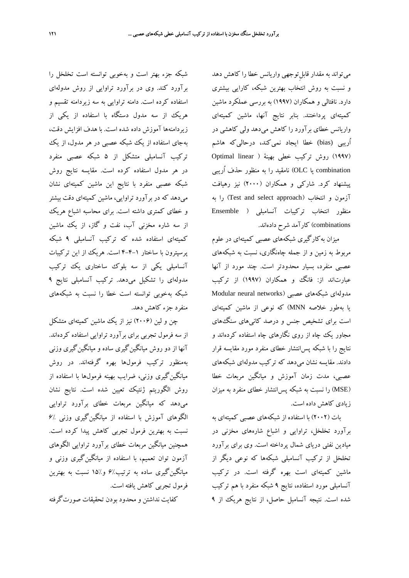ميتواند به مقدار ِ قابلتوجهي واريانس خطا را كاهش دهد و نسبت به روش انتخاب بهترين شبكه، كارايي بيشتري دارد. نافتالي و همكاران (1997) به بررسي عملكرد ماشين كميتهاي پرداختند. بنابر نتايج آنها، ماشين كميتهاي واريانس خطاي برآورد را كاهش ميدهد ولي كاهشي در اُريبي (bias (خطا ايجاد نميكند، درحاليكه هاشم (1997) روش تركيب خطي بهينة ( linear Optimal combination يا OLC (نامقيد را به منظور حذف اُريبي پيشنهاد كرد. شاركي و همكاران (2000) نيز رهيافت آزمون و انتخاب (Test and select approach) را به منظور انتخاب تركيبات آنسامبلي ( Ensemble combinations (كارآمد شرح دادهاند.

ميزان بهكارگيري شبكههاي عصبي كميتهاي در علوم مربوط به زمين و از جمله چاهنگاري، نسبت به شبكههاي عصبي منفرد، بسيار محدودتر است. چند مورد از آنها عبارتاند از: فانگ و همكاران (1997) از تركيب مدولهاي شبكههاي عصبي (networks neural Modular يا بهطور خلاصه MNN (كه نوعي از ماشين كميتهاي است براي تشخيص جنس و درصد كانيهاي سنگهاي مجاور يك چاه از روي نگارهاي چاه استفاده كردهاند و نتايج را با شبكه پسانتشار خطاي منفرد مورد مقايسه قرار دادند. مقايسه نشان ميدهد كه تركيب مدولهاي شبكههاي عصبي، مدت زمان آموزش و ميانگين مربعات خطا (MSE (را نسبت به شبكه پسانتشار خطاي منفرد به ميزان زيادي كاهش داده است.

بات (2002) با استفاده از شبكههاي عصبي كميتهاي به برآورد تخلخل، تراوايي و اشباع شارههاي مخزني در ميادين نفتي درياي شمال پرداخته است. وي براي برآورد تخلخل از تركيب آنسامبلي شبكهها كه نوعي ديگر از ماشين كميتهاي است بهره گرفته است. در تركيب آنسامبلي مورد استفاده، نتايج 9 شبكه منفرد با هم تركيب شده است. نتيجه آنسامبل حاصل، از نتايج هريك از 9

شبكه جزء بهتر است و بهخوبي توانسته است تخلخل را برآورد كند. وي در برآورد تراوايي از روش مدولهاي استفاده كرده است. دامنه تراوايي به سه زيردامنه تقسيم و هريك از سه مدول دستگاه با استفاده از يكي از زيردامنهها آموزش داده شده است. با هدف افزايش دقت، بهجاي استفاده از يك شبكه عصبي در هر مدول، از يك تركيب آنسامبلي متشكل از 5 شبكه عصبي منفرد در هر مدول استفاده كرده است. مقايسه نتايج روش شبكه عصبي منفرد با نتايج اين ماشين كميتهاي نشان ميدهد كه در برآورد تراوايي، ماشين كميتهاي دقت بيشتر و خطاي كمتري داشته است. براي محاسبه اشباع هريك از سه شاره مخزني آب، نفت و گاز، از يك ماشين كميتهاي استفاده شده كه تركيب آنسامبلي 9 شبكه پرسپترون با ساختار 4-4-1 است. هريك از اين تركيبات آنسامبلي يكي از سه بلوك ساختاري يك تركيب مدولهاي را تشكيل ميدهد. تركيب آنسامبلي نتايج 9 شبكه بهخوبي توانسته است خطا را نسبت به شبكههاي منفرد جزء كاهش دهد.

چن و لين (2006) نيز از يك ماشين كميتهاي متشكل از سه فرمول تجربي براي برآورد تراوايي استفاده كردهاند. آنها از دو روش ميانگينگيري ساده و ميانگينگيري وزني بهمنظور تركيب فرمولها بهره گرفتهاند. در روش ميانگينگيري وزني، ضرايب بهينه فرمولها با استفاده از روش الگوريتم ژنتيك تعيين شده است. نتايج نشان ميدهد كه ميانگين مربعات خطاي برآورد تراوايي الگوهاي آموزش با استفاده از ميانگين گيري وزني ./۶ نسبت به بهترين فرمول تجربي كاهش پيدا كرده است. همچنين ميانگين مربعات خطاي برآورد تراوايي الگوهاي آزمون توان تعميم، با استفاده از ميانگينگيري وزني و ميانگينگيري ساده به ترتيب6% و15% نسبت به بهترين فرمول تجربي كاهش يافته است.

كفايت نداشتن و محدود بودن تحقيقات صورتگرفته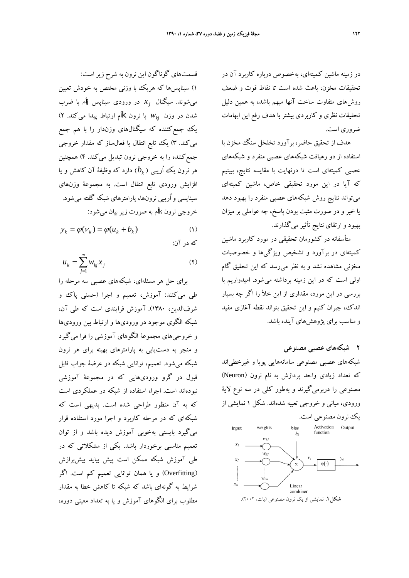در زمينه ماشين كميتهاي، بهخصوص درباره كاربرد آن در تحقيقات مخزن، باعث شده است تا نقاط قوت و ضعف روشهاي متفاوت ساخت آنها مبهم باشد، به همين دليل تحقيقات نظري و كاربردي بيشتر با هدف رفع اين ابهامات ضروري است.

هدف از تحقيق حاضر، برآورد تخلخل سنگ مخزن با استفاده از دو رهيافت شبكههاي عصبي منفرد و شبكههاي عصبي كميتهاي است تا درنهايت با مقايسه نتايج، ببينيم كه آيا در اين مورد تحقيقي خاص، ماشين كميتهاي ميتواند نتايج روش شبكههاي عصبي منفرد را بهبود دهد يا خير و در صورت مثبت بودن پاسخ، چه عواملي بر ميزان بهبود و ارتقاي نتايج تأثير ميگذارند.

متأسفانه در كشورمان تحقيقي در مورد كاربرد ماشين كميتهاي در برآورد و تشخيص ويژگيها و خصوصيات مخزني مشاهده نشد و به نظر ميرسد كه اين تحقيق گام اولي است كه در اين زمينه برداشته ميشود. اميدواريم با بررسي در اين مورد، مقداري از اين خلأ را اگر چه بسيار اندك، جبران كنيم و اين تحقيق بتواند نقطه آغازي مفيد و مناسب براي پژوهشهاي آينده باشد.

**2 شبكههاي عصبي مصنوعي** 

شبكههاي عصبي مصنوعي سامانههايي پويا و غيرخطياند كه تعداد زيادي واحد پردازش به نام نرون (Neuron( مصنوعي را دربرميگيرند و بهطور كلي در سه نوع لاية ورودي، مياني و خروجي تعبيه شدهاند. شكل 1 نمايشي از



قسمتهاي گوناگون اين نرون به شرح زيراست: 1) سيناپسها كه هريك با وزني مختص به خودش تعيين *x* در ورودي سيناپس <sup>j</sup>اُم با ضرب *<sup>j</sup>* ميشوند. سيگنال با نرون kاُم ارتباط پيدا ميكند. 2) *wkj* شدن در وزن يك جمعكننده كه سيگنالهاي وزندار را با هم جمع ميكند. 3) يك تابع انتقال يا فعالساز كه مقدار خروجي جمعكننده را به خروجي نرون تبديل ميكند. 4) همچنين ) دارد كه وظيفة آن كاهش و يا *bk* هر نرون يك اُريبي ( افزايش ورودي تابع انتقال است. به مجموعة وزنهاي سيناپسي و اُريبي نرونها، پارامترهاي شبكه گفته ميشود. خروجي نرون kاُم به صورت زيربيان ميشود:

$$
y_k = \varphi(v_k) = \varphi(u_k + b_k) \tag{1}
$$

كه در آن:

$$
u_k = \sum_{j=1}^{m} w_{kj} x_j \tag{Y}
$$

براي حل هر مسئلهاي، شبكههاي عصبي سه مرحله را طي ميكنند: آموزش، تعميم و اجرا (حسني پاك و شرفالدين، 1380). آموزش فرايندي است كه طي آن، شبكه الگوي موجود در وروديها و ارتباط بين وروديها و خروجيهاي مجموعة الگوهاي آموزشي را فرا ميگيرد و منجر به دستيابي به پارامترهاي بهينه براي هر نرون شبكه ميشود. تعميم، توانايي شبكه در عرضة جواب قابل قبول در گرو وروديهايي كه در مجموعة آموزشي نبودهاند است. اجرا، استفاده از شبكه در عملكردي است كه به آن منظور طراحي شده است. بديهي است كه شبكهاي كه در مرحله كاربرد و اجرا مورد استفاده قرار ميگيرد بايستي بهخوبي آموزش ديده باشد و از توان تعميم مناسبي برخوردار باشد. يكي از مشكلاتي كه در طي آموزش شبكه ممكن است پيش بيايد بيشبرازش (Overfitting (و يا همان توانايي تعميم كم است. اگر شرايط به گونهاي باشد كه شبكه تا كاهش خطا به مقدار مطلوب براي الگوهاي آموزش و يا به تعداد معيني دوره،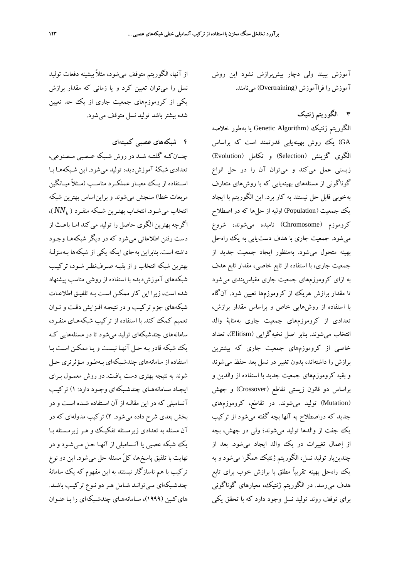آموزش ببيند ولي دچار بيشبرازش نشود اين روش آموزش را فراآموزش (Overtraining (مينامند.

**3 الگوريتم ژنتيك** 

الگوريتم ژنتيك (Algorithm Genetic يا بهطور خلاصه GA (يك روش بهينهيابي قدرتمند است كه براساس الگوي گزينش (Selection (و تكامل (Evolution ( زيستي عمل ميكند و ميتوان آن را در حل انواع گوناگوني از مسئلههاي بهينهيابي كه با روشهاي متعارف بهخوبي قابل حل نيستند به كار برد. اين الگوريتم با ايجاد يك جمعيت (Population) اوليه از حلها كه در اصطلاح كروموزم (Chromosome (ناميده ميشوند، شروع ميشود. جمعيت جاري با هدف دستيابي به يك راهحل بهينه متحول ميشود. بهمنظور ايجاد جمعيت جديد از جمعيت جاري، با استفاده از تابع خاصي، مقدار تابع هدف به ازاي كروموزمهاي جمعيت جاري مقياسبندي ميشود تا مقدار برازش هريك از كروموزمها تعيين شود. آنگاه با استفاده از روشهايي خاص و براساس مقدار برازش، تعدادي از كروموزمهاي جمعيت جاري بهمثابة والد انتخاب ميشوند. بنابر اصل نخبهگرايي (Elitism(، تعداد خاصي از كروموزمهاي جمعيت جاري كه بيشترين برازش را داشتهاند، بدون تغيير در نسل بعد حفظ ميشوند و بقيه كروموزمهاي جمعيت جديد با استفاده از والدين و براساس دو قانون زيستي تقاطع (Crossover (و جهش (Mutation (توليد ميشوند. در تقاطع، كروموزمهاي جديد كه دراصطلاح به آنها بچه گفته ميشود از تركيب يك جفت از والدها توليد ميشوند؛ ولي در جهش، بچه از اعمال تغييرات در يك والد ايجاد ميشود. بعد از چندينبار توليد نسل، الگوريتم ژنتيك همگرا ميشود و به يك راهحل بهينه تقريباً مطلق با برازش خوب براي تابع هدف ميرسد. در الگوريتم ژنتيك، معيارهاي گوناگوني براي توقف روند توليد نسل وجود دارد كه با تحقق يكي

از آنها، الگوريتم متوقف ميشود، مثلاً بيشينه دفعات توليد نسل را ميتوان تعيين كرد و يا زماني كه مقدار برازش يكي از كروموزمهاي جمعيت جاري از يك حد تعيين شده بيشترباشد توليد نسل متوقف ميشود.

**4 شبكههاي عصبي كميتهاي** 

چنــانكــه گفتــه شــد در روش شــبكه عــصبي مــصنوعي، تعدادي شبكة آموزشديده توليد ميشود. اين شـبكههـا بـا اســتفاده از يــك معيــار عملكــرد مناســب (مــثلاً ميــانگين مربعات خطا) سنجش ميشوند و براين اساس بهترين شبكه )، *NNb* انتخاب ميشـود. انتخـاب بهتـرين شـبكه منفـرد ( اگرچه بهترين الگوي حاصل را توليد مي كند امـا باعـث از دست رفتن اطلاعاتي ميشود كه در ديگر شبكه هـا وجـود داشته است. بنابراين به جاي اينكه يكي از شبكه ها بـهمنزلـة بهترين شبكه انتخاب و از بقيـه صـرف نظـر شـود، تركيـب شبكههاي آموزشديده با استفاده از روشي مناسب پيشنهاد شده است، زيرا اين كار ممكـن اسـت بـه تلفيـق اطلاعـات شبكههاي جزء تركيـب و در نتيجـه افـزايش دقـت و تـوان تعميم كمك كند. با استفاده از تركيب شبكه هـاي منفـرد، سامانههاي چندشبكهاي توليد ميشود تا در مسئلههايي كـه يك شبكه قادر بـه حـل آنهـا نيـست و يـا ممكـن اسـت بـا استفاده از سامانههاي چندشـبكهاي بـهطـور مـؤثرتري حـل شوند به نتيجه بهتري دست يافـت. دو روش معمـول بـراي ايجـاد سـامانههـاي چندشـبكهاي وجـود دارد: 1) تركيـب آنسامبلي كه در اين مقالـه از آن اسـتفاده شـده اسـت و در بخش بعدي شرح داده مي شود. 2) تركيب مدولهاي كه در آن مسئله به تعدادي زيرمسئله تفكيـك و هـر زيرمـسئله بـا يك شبكه عصبي يا آنـسامبلي از آنهـا حـل مـي شـود و در نهايت با تلفيق پاسخها، كلّ مسئله حل مي شود. اين دو نوع تركيب با هم ناسازگار نيستند به اين مفهوم كه يك سامانة چندشـبكهاي مـيتوانـد شـامل هـردو نـوع تركيـب باشـد . هايكـين (1999)، سـامانههـاي چندشـبكهاي را بـا عنـوان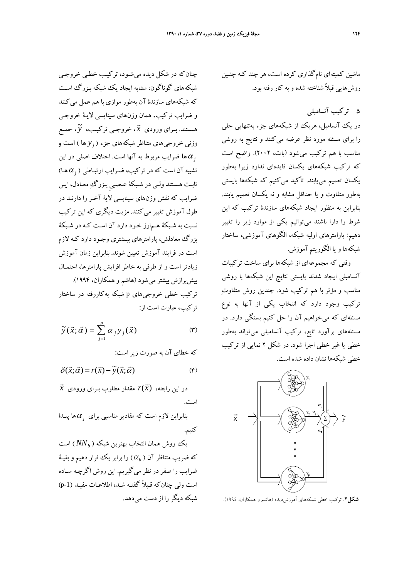چنان كه در شكل ديده مي شـود، تركيـب خطـي خروجـي شبكههاي گوناگون، مشابه ايجاد يك شبكه بـزرگ اسـت كه شبكههاي سازندة آن بهطور موازي با هم عمل مي كنند و ضرايب تركيب، همان وزن هاي سيناپسي لايـة خروجـي ، جمــع <sup>~</sup> ، خروجـي تركيــب، *<sup>y</sup>* <sup>G</sup> هـستند. بــراي ورودي *<sup>x</sup> y* ها ) است و *<sup>j</sup>* وزني خروجيهاي متناظر شبكههاي جزء ( ها ضرايب مربوط به آنها است . اختلاف اصلي در اين *<sup>j</sup>* <sup>α</sup> هـا) *<sup>j</sup>* <sup>α</sup> تشبيه آن است كه در تركيب، ضـرايب ارتبـاطي ( ثابـت هـستند ولـي در شـبكة عـصبيِ بـزرگ معـادل، ايـن ضرايب كه نقش وزنهاي سيناپسي لاية آخـر را دارنـد در طول آموزش تغيير ميكنند. مزيت ديگري كه اين تركيب نسبت به شـبكة هـم ارز خـود دارد آن اسـت كـه در شـبكة بزرگ معادلش، پارامترهاي بيـشتري وجـود دارد كـه لازم است در فرايند آموزش تعيين شوند . بنابراين زمان آموزش زيادتر است و از طرفي به خاطر افزايش پارامترها، احتمـال بيشبرازش بيشتر ميشود (هاشم و همكاران، 1994). تركيب خطي خروجيهاي p شبكه بهكاررفته در ساختار تركيب، عبارت است از:

$$
\widetilde{\mathbf{y}}(\vec{x};\vec{\alpha}) = \sum_{j=1}^{p} \alpha_{j} \mathbf{y}_{j}(\vec{x})
$$
 (7)

كه خطاي آن به صورت زيراست:

$$
\delta(\vec{x}; \vec{\alpha}) = r(\vec{x}) - \tilde{y}(\vec{x}; \vec{\alpha})
$$
 (6)

 $\vec{x}$  در اين رابطه،  $r(\vec{x})$  مقدار مطلوب بـراى ورودى است.

ها پيـدا *<sup>j</sup>* <sup>α</sup> بنابراين لازم است كه مقادير مناسبي براي كنيم.

يك روش همان انتخاب بهترين شبكه (  $\mathit{NN}_b$  ) است ) را برابريك قرار دهيم و بقيـة <sup>α</sup>*<sup>b</sup>* كه ضريب متناظر آن ( ضرايب را صفر در نظر مي گيريم. اين روش اگرچـه سـاده است ولي چنانكه قـبلاً گفتـه شـد، اطلاعـات مفيـد (-1p ( شبكه ديگررا از دست ميدهد. ماشين كميتهاي نامگذاري كرده است، هر چند كـه چنـين روشهايي قبلاً شناخته شده و به كار رفته بود.

**5 تركيب آنسامبلي** 

در يك آنسامبل، هريك از شبكههاى جزء بهتنهايي حلي را براي مسئله مورد نظر عرضه مي كنند و نتايج به روشي مناسب با هم تركيب ميشود (بات، 2002). واضح است كه تركيب شبكههاي يكسان فايدهاي ندارد زيرا بهطور يكسان تعميم مييابند. تأكيد ميكنيم كه شبكهها بايستي بهطور متفاوت و يا حداقل مشابه و نه يكسان تعميم يابند. بنابراين به منظور ايجاد شبكههاي سازندة تركيب كه اين شرط را دارا باشند ميتوانيم يكي از موارد زير را تغيير دهيم: پارامترهاي اوليه شبكه، الگوهاي آموزشي، ساختار شبكهها و يا الگوريتم آموزش.

وقتي كه مجموعهاي از شبكهها براي ساخت تركيبات آنسامبلي ايجاد شدند بايستي نتايج اين شبكهها با روشي مناسب و مؤثر با هم تركيب شود. چندين روش متفاوت تركيب وجود دارد كه انتخاب يكي از آنها به نوع مسئلهاي كه ميخواهيم آن را حل كنيم بستگي دارد. در مسئلههاي برآورد تابع، تركيب آنسامبلي ميتواند بهطور خطي يا غير خطي اجرا شود. در شكل 2 نمايي از تركيب خطي شبكهها نشان داده شده است.



**شكل.2** تركيب خطي شبكههاي آموزشديده (هاشم <sup>و</sup> همكاران، 1994).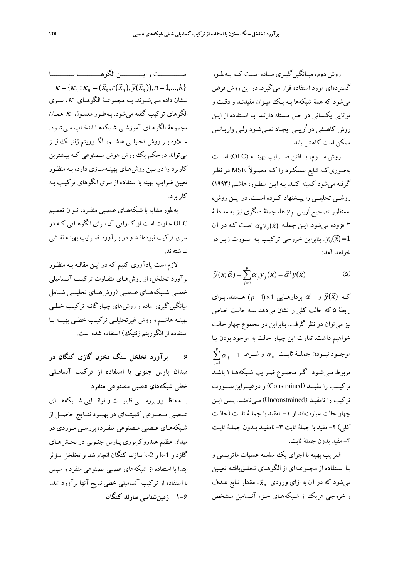روش دوم، ميــانگينگيــري ســاده اســت كــه بــهطــور گستردهاي مورد استفاده قرار مي گيرد. در اين روش فرض ميشود كه همة شبكهها بـه يـك ميـزان مفيدنـد و دقـت و توانايي يكـساني در حـل مـسئله دارنـد . بـا اسـتفاده از ايـن روش كاهـشي در اُريبـي ايجـاد نمـيشـود ولـي واريـانس ممكن است كاهش يابد.

روش ســـوم، يـــافتن ضـــرايب بهينـــه (OLC (اســـت بهطـوريكـه تـابع عملكـرد را كـه ً معمـولا MSE در نظـر گرفته ميشود كمينه كنـد. بـه ايـن منظـور، هاشـم (1993) روشــي تحليلــي را پيــشنهاد كــرده اســت. در ايــن روش، *y* ها، جملة ديگري نيز به معادلـة *<sup>j</sup>* به منظور تصحيح اُريبي افزوده میشود. ايـن جملـه  $\alpha_0 y_0(\vec{x})$  اسـت كـه در آن  $\mathsf{\mathsf{r}}$ . بنابراين خروجي تركيب بـه صـورت زيـر در  $y_0(\vec{x})$ =1 خواهد آمد:

$$
\widetilde{y}(\vec{x};\vec{\alpha}) = \sum_{j=0}^{p} \alpha_j y_j(\vec{x}) = \vec{\alpha}' \vec{y}(\vec{x})
$$
 (2)

 $\vec{y}(\vec{x}) = \vec{y}(\vec{x})$  و  $\vec{\alpha}$  بردارهـايي 1×(1+p) هـستند. بـراي رابطة 5 كه حالت كلي را نشان مي دهد سـه حالـت خـاص نيز ميتوان در نظر گرفت. بنابراين در مجموع چهار حالت خواهيم داشت. تفاوت اين چهار حالت به موجود بودن يـا  $\sum\limits_{j=1}^p\alpha_{_j}=1$  موجــود نبــودن جملـــهٔ ثابــت  $\alpha_{_0}$  و شـــرط  $\alpha_{_j}$ *j* <sup>α</sup> *j* مربوط مـيشـود. اگـر مجمـوع ضـرايب شـبكه هـا 1 باشـد تركيــب را مقيــد (Constrained (و درغيــراينصــورت تركيب را نامقيـد (Unconstrained (مـينامنـد. پـس ايـن چهار حالت عبارتاند از -1 نامقيد با جملـة ثابـت (حالـت كلي) ٢- مقيد با جملة ثابت ٣- نامقيـد بـدون جملـهٔ ثابـت -4 مقيد بدون جملة ثابت.

ضرايب بهينه با اجراي يك سلسله عمليات ماتريـسي و بـا اسـتفاده از مجموعـهاي از الگوهـاي تحقـقيافتـه تعيـين *x <sup>n</sup>* ميشود كه در آن به ازاي ورودي ، مقدار تـابع هـدف <sup>G</sup> و خروجي هريك از شـبكه هـاي جـزء آنـسامبل مـشخص

اســــــــــــت و ايــــــــــــن الگوهــــــــــــا بــــــــــــا  ${\bf K} = {\bf K}_n : {\bf K}_n = (\vec{x}_n, r(\vec{x}_n), \vec{y}(\vec{x}_n)), n = 1,...,k}$ نـشان داده مـيشــوند. بـه مجموعــة الگوهـاي <sup>κ</sup>، ســري الگوهاي تركيب گفته ميشود. بـهطـور معمـول <sup>κ</sup> همـان مجموعة الگوهـاي آموزشـي شـبكه هـا انتخـاب مـي شـود. عــلاوه بــرروش تحليلــي هاشــم، الگــوريتم ژنتيــك نيــز ميتواند درحكم يك روش هوش مـصنوعي كـه بيـشترين كاربرد را در بـين روش هـاي بهينـه سـازي دارد، بـه منظـور تعيين ضرايب بهينه با استفاده از سري الگوهاي تركيـب بـه كار برد.

بهطور مشابه با شبكههـاي عـصبي منفـرد، تـوان تعمـيم OLC عبارت است از كـارايي آن بـراي الگوهـايي كـه در سري تركيب نبودهانـد و در بـرآورد ضـرايب بهينـه نقـشي نداشتهاند.

لازم است يادآوري كنيم كه در ايـن مقالـه بـه منظـور برآورد تخلخل، از روشهـاي متفـاوت تركيـب آنـسامبلي خطــي شــبكههــاي عــصبي (روشهــاي تحليلــي شــامل ميانگينگيري ساده و روشهاي چهارگانـه تركيـب خطـي بهينـه هاشـم و روش غيرتحليلـي تركيـب خطـي بهينـه بـا استفاده از الگوريتم ژنتيك) استفاده شده است.

**6 برآورد تخلخل سنگ مخزن گازي كنگان در ميدان پارس جنوبي با استفاده از تركيب آنسامبلي خطي شبكههاي عصبي مصنوعي منفرد**  بـــه منظـــور بررســـي قابليـــت و توانـــايي شـــبكه هـــاي عــصبي مــصنوعي كميتــهاي در بهبــود نتــايج حاصــل از شـبكههـاي عـصبي مـصنوعي منفـرد، بررسـي مـوردي در ميدان عظيم هيدروكربوري پـارس جنـوبي در بخـش هـاي گازدار k-1 و k-2 سازند كنگان انجام شد و تخلخل مـؤثر ابتدا با استفاده از شبكه هاي عصبي مصنوعي منفرد و سپس با استفاده از تركيب آنسامبلي خطي نتايج آنها برآورد شد. **1-6 زمينشناسي سازند كنگان**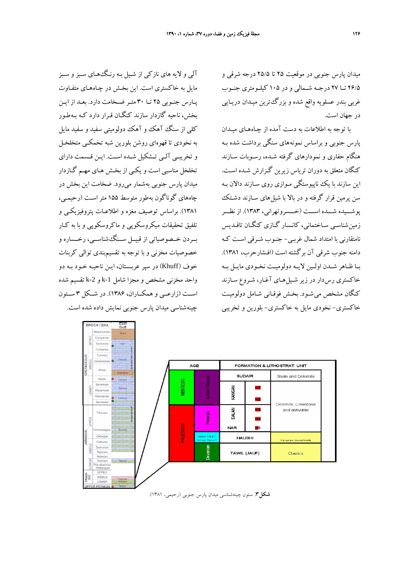ميدان پارس جنوبي در موقعيت 25 تا 25/5 درجه شرقي و 26/5 تــا 27 درجــه شــمالي و در 105 كيلــومتري جنــوب غربي بندر عسلويه واقع شده و بزرگ ترين ميـدان دريـايي در جهان است.

با توجه به اطلاعات به دست آمده از چـاه هـاي ميـدان پارس جنوبي و براساس نمونه هاي سنگي برداشت شده بـه هنگام حفاري و نمودارهاي گرفته شـده، رسـوبات سـازند كنگان متعلق به دوران ترياس زيرين گـزارش شـده اسـت . اين سازند با يك ناپيوستگي مـوازي روي سـازند دالان بـه سن پرمين قرار گرفته و در بالا با شيل هاي سـازند دشـتك پوشـــيده شـــده اســـت (خـــسروتهراني، 1383). از نظـــر زمينشناسـي سـاختماني، كانـسار گـازي كنگـان تاقـديس نامتقارني با امتداد شمال غربـي - جنـوب شـ رقي اسـت كـه دامنه جنوب شرقي آن برگشته است (افـشارحرب، 1381). بــا ظــاهر شــدن اولــين لايــه دولوميــت نخــودي مايــل بــه خاكستري رسدار در زير شـيلهـاي آغـار، شـروع سـازند كنگان مشخص ميشـود. بخـش فوقـاني شـامل دولوميـت خاكستري- نخودي مايل به خاكستري - بلورين و تخريبي

آلي و لايه هاي نازكي از شـيل بـه رنـگ هـاي سـبزو سـبز مايل به خاكستري است. اين بخـش در چـاه هـاي متفـاوت پـارس جنـوبي 25 تـا 30 متـر ضـخامت دارد. بعـد از ايـن بخش، ناحيه گازدار سازند كنگـان قـرار دارد كـه بـه طـور كلي از سنگ آهك و آهك دولوميتي سفيد و سفيد مايل به نخودي تا قهوه اي روشن بلورين شبه تخمكـي متخلخـل و تخريبـي آلـي تـشكيل شـده اسـت. ايـن قـسمت داراي تخلخل مناسبي است و يكـي از بخـش هـاي مهـم گـازدار ميدان پارس جنوبي به شمار ميرود. ضخامت اين بخش در چاههاي گوناگون بهطور متوسط 155 متراسـت (رحيمـي، 1381). براساس توصيف مغزه و اطلاعـات پتروفيزيكـي و تلفيق تحقيقات ميكروسكوپي و ماكروسكوپي و با به كـار بــردن خــصوصياتي از قبيــل ســنگشناســي، رخــساره و خصوصيات مخزني و با توجه به تقسيم بندي توالي كربنات خوف (Khuff (در سپر عربـستان، ايـن نا حيـه خـود بـه دو واحد مخزني مشخص و مجزا شامل k-1 و k-2 تقسيم شده اســت (زارعــي و همكــاران، 1386). در شــكل 3 ســتون چينهشناسي ميدان پارس جنوبي نمايش داده شده است.

EPOCH / ERA



**شكل.3** ستون چينهشناسي ميدان پارس جنوبي (رحيمي، 1381).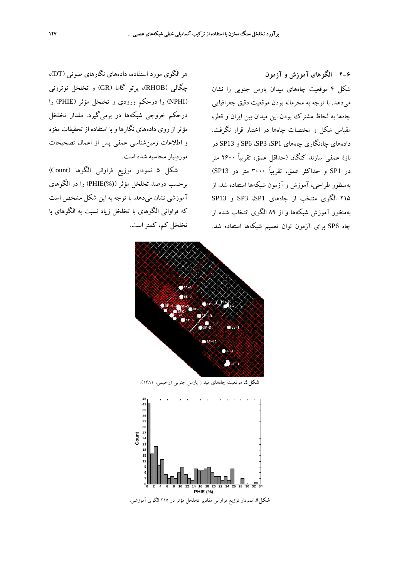هر الگوي مورد استفاده، دادههاي نگارهاي صوتي (DT(، چگالي (RHOB(، پرتو گاما (GR (و تخلخل نوتروني (NPHI (را درحكم ورودي و تخلخل مؤثر (PHIE (را درحكم خروجي شبكهها در برميگيرد. مقدار تخلخل مؤثراز روي دادههاي نگارها و با استفاده از تحقيقات مغزه و اطلاعات زمينشناسي عمقي پس از اعمال تصحيحات موردنياز محاسبه شده است.

شكل 5 نمودار توزيع فراواني الگوها (Count ( برحسب درصد تخلخل مؤثر ((%)PHIE (را در الگوهاي آموزشي نشان ميدهد. با توجه به اين شكل مشخص است كه فراواني الگوهاي با تخلخل زياد نسبت به الگوهاي با تخلخل كم، كمتراست.

**2-6 الگوهاي آموزش و آزمون**  شكل 4 موقعيت چاههاي ميدان پارس جنوبي را نشان ميدهد. با توجه به محرمانه بودن موقعيت دقيق جغرافيايي چاهها به لحاظ مشترك بودن اين ميدان بين ايران و قطر، مقياس شكل و مختصات چاهها در اختيار قرار نگرفت. دادههاي چاهنگاري چاههاي 1SP، 3SP، 6SP و 13SP در بازة عمقي سازند كنگان (حداقل عمق، تقريباً 2600 متر در 1SP و حداكثر عمق، تقريباً 3000 متر در 13SP( بهمنظور طراحي، آموزش و آزمون شبكهها استفاده شد. از 215 الگوي منتخب از چاههاي 1SP، 3SP و 13SP بهمنظور آموزش شبكهها و از 89 الگوي انتخاب شده از چاه 6SP براي آزمون توان تعميم شبكهها استفاده شد.



**شكل.4** موقعيت چاههاي ميدان پارس جنوبي (رحيمي، 1381).



**شكل.5** نمودار توزيع فراواني مقادير تخلخل مؤثر در 215 الگوي آموزشي.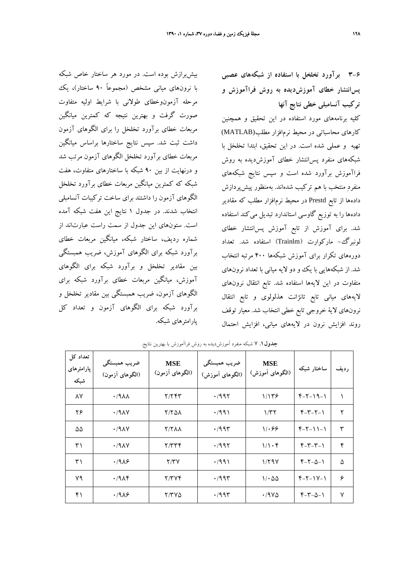بيشبرازش بوده است. در مورد هر ساختار خاص شبكه با نرونهاي مياني مشخص (مجموعاً 90 ساختار)، يك مرحله آزمونوخطاي طولاني با شرايط اوليه متفاوت صورت گرفت و بهترين نتيجه كه كمترين ميانگين مربعات خطاي برآورد تخلخل را براي الگوهاي آزمون داشت ثبت شد. سپس نتايج ساختارها براساس ميانگين مربعات خطاي برآورد تخلخل الگوهاي آزمون مرتب شد و درنهايت از بين 90 شبكه با ساختارهاي متفاوت، هفت شبكه كه كمترين ميانگين مربعات خطاي برآورد تخلخل الگوهاي آزمون را داشتند براي ساخت تركيبات آنسامبلي انتخاب شدند. در جدول 1 نتايج اين هفت شبكه آمده است. ستونهاي اين جدول از سمت راست عبارتاند از شماره رديف، ساختار شبكه، ميانگين مربعات خطاي برآورد شبكه براي الگوهاي آموزش، ضريب همبستگي بين مقادير تخلخل و برآورد شبكه براي الگوهاي آموزش، ميانگين مربعات خطاي برآورد شبكه براي الگوهاي آزمون، ضريب همبستگي بين مقادير تخلخل و برآورد شبكه براي الگوهاي آزمون و تعداد كل پارامترهاي شبكه.

**3-6 برآورد تخلخل با استفاده از شبكههاي عصبي پسانتشار خطاي آموزشديده به روش فراآموزش و تركيب آنسامبلي خطي نتايج آنها** 

كليه برنامههاي مورد استفاده در اين تحقيق و همچنين كارهاي محاسباتي در محيط نرمافزار مطلب(MATLAB( تهيه و عملي شده است. در اين تحقيق، ابتدا تخلخل با شبكههاي منفرد پسانتشار خطاي آموزشديده به روش فراآموزش برآورد شده است و سپس نتايج شبكههاي منفرد منتخب با هم تركيب شدهاند. بهمنظور پيشپردازش دادهها از تابع Prestd در محيط نرمافزار مطلب كه مقادير دادهها را به توزيع گاوسي استاندارد تبديل ميكند استفاده شد. براي آموزش از تابع آموزش پسانتشار خطاي لونبرگ- ماركوارت (Trainlm (استفاده شد. تعداد دورههاي تكرار براي آموزش شبكهها 400 مرتبه انتخاب شد. از شبكههايي با يك و دو لايه مياني با تعداد نرونهاي متفاوت در اين لايهها استفاده شد. تابع انتقال نرونهاي لايههاي مياني تابع تانژانت هذلولوي و تابع انتقال نرونهاي لاية خروجي تابع خطي انتخاب شد. معيار توقف روند افزايش نرون در لايههاي مياني، افزايش احتمال

| تعداد کل<br>پارامترهای<br>شبكه | ضريب همبستگي<br>(الگوهای آزمون) | <b>MSE</b><br>(الگوهای اَزمون) | ضريب همبستگي<br>(الگوهای اَموزش) | <b>MSE</b><br>(الگوهای آموزش) | ساختار شبكه      | رديف |
|--------------------------------|---------------------------------|--------------------------------|----------------------------------|-------------------------------|------------------|------|
| ٨Y                             | .19 <sub>A</sub>                | ۲/۲۴۳                          | ۰/۹۹۲                            | ۱٬۱۳۶                         | $Y-Y-19-1$       | ١    |
| ۲۶                             | .79AY                           | 11751                          | ۰/۹۹۱                            | ۱/۳۲                          | $Y-Y-Y-1$        | ٢    |
| ۵۵                             | $\cdot$ /9 $\wedge$ Y           | <b>T/TAA</b>                   | $\cdot$ /99۳                     | 1.99                          | $f - f - 11 - 1$ | ٣    |
| ۳۱                             | $\cdot$ /9 $\wedge$ Y           | Y/YYY                          | $\cdot$ /99۲                     | 1/1.8                         | $Y - Y - Y - 1$  | ۴    |
| ۳۱                             | .1989                           | Y/YY                           | $\cdot$ /99)                     | 1/79V                         | $Y-Y-\Delta-1$   | ۵    |
| ۷۹                             | $\cdot$ /9 $\wedge$ ۴           | Y/YYf                          | $\cdot$ ۹۹۳                      | $1/\cdot \Delta \Delta$       | $Y-Y-Y-Y$        | ۶    |
| ۴۱                             | .1989                           | 7/۳۷۵                          | $\cdot$ ۹۹۳                      | ۱٬۱۹۷۵                        | $Y-Y-\Delta-1$   | Y    |

**جدول.1** 7 شبكه منفرد آموزشديده به روش فراآموزش با بهترين نتايج.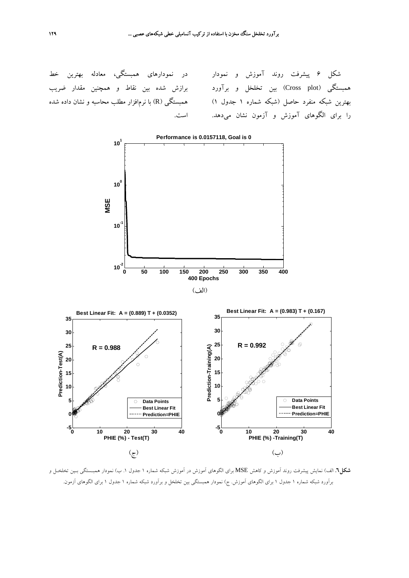در نمودارهاي همبستگي، معادله بهترين خط برازش شده بين نقاط و همچنين مقدار ضريب همبستگي (R (با نرمافزار مطلب محاسبه و نشان داده شده است.

شكل 6 پيشرفت روند آموزش و نمودار همبستگي (plot Cross (بين تخلخل و برآورد بهترين شبكه منفرد حاصل (شبكه شماره 1 جدول 1) را براي الگوهاي آموزش و آزمون نشان ميدهد.



**شكل.6** الف) نمايش پيشرفت روند آموزش و كاهش MSE براي الگوهاي آموزش در آموزش شبكه شماره 1 جدول .1 ب) نمودار همبـستگي بـين تخلخـل و برآورد شبكه شماره 1 جدول 1 براي الگوهاي آموزش. ج) نمودار همبستگي بين تخلخل و برآورد شبكه شماره 1 جدول 1 براي الگوهاي آزمون.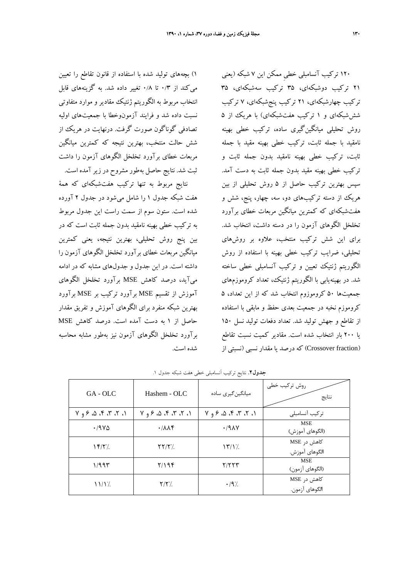1) بچههاي توليد شده با استفاده از قانون تقاطع را تعيين ميكند از ۰/۳ تا ۰/۸ تغيير داده شد. به گزينههاي قابل انتخاب مربوط به الگوريتم ژنتيك مقادير و موارد متفاوتي نسبت داده شد و فرايند آزمونوخطا با جمعيتهاي اوليه تصادفي گوناگون صورت گرفت. درنهايت در هريك از شش حالت منتخب، بهترين نتيجه كه كمترين ميانگين مربعات خطاي برآورد تخلخل الگوهاي آزمون را داشت ثبت شد. نتايج حاصل بهطور مشروح در زير آمده است.

نتايج مربوط به تنها تركيب هفتشبكهاي كه همة هفت شبكه جدول 1 را شامل ميشود در جدول 2 آورده شده است. ستون سوم از سمت راست اين جدول مربوط به تركيب خطي بهينه نامقيد بدون جمله ثابت است كه در بين پنج روش تحليلي، بهترين نتيجه، يعني كمترين ميانگين مربعات خطاي برآورد تخلخل الگوهاي آزمون را داشته است. در اين جدول و جدولهاي مشابه كه در ادامه ميآيد، درصد كاهش MSE برآورد تخلخل الگوهاي آموزش از تقسيم MSE برآورد تركيب بر MSE برآورد بهترين شبكه منفرد براي الگوهاي آموزش و تفريق مقدار حاصل از 1 به دست آمده است. درصد كاهش MSE برآورد تخلخل الگوهاي آزمون نيز بهطور مشابه محاسبه شده است.

120 تركيب آنسامبلي خطيِ ممكن اين 7 شبكه (يعني 21 تركيب دوشبكهاي، 35 تركيب سهشبكهاي، 35 تركيب چهارشبكهاي، 21 تركيب پنجشبكهاي، 7 تركيب شششبكهاي و 1 تركيب هفتشبكهاي) با هريك از 5 روش تحليلي ميانگينگيري ساده، تركيب خطي بهينه نامقيد با جمله ثابت، تركيب خطي بهينه مقيد با جمله ثابت، تركيب خطي بهينه نامقيد بدون جمله ثابت و تركيب خطي بهينه مقيد بدون جمله ثابت به دست آمد. سپس بهترين تركيب حاصل از 5 روش تحليلي از بين هريك از دسته تركيبهاي دو، سه، چهار، پنج، شش و هفتشبكهاي كه كمترين ميانگين مربعات خطاي برآورد تخلخل الگوهاي آزمون را در دسته داشت، انتخاب شد. براي اين شش تركيب منتخب، علاوه بر روشهاي تحليلي، ضرايب تركيب خطي بهينه با استفاده از روش الگوريتم ژنتيك تعيين و تركيب آنسامبلي خطي ساخته شد. در بهينهيابي با الگوريتم ژنتيك، تعداد كروموزمهاي جمعيتها 50 كروموزوم انتخاب شد كه از اين تعداد، 5 كروموزم نخبه در جمعيت بعدي حفظ و مابقي با استفاده از تقاطع و جهش توليد شد. تعداد دفعات توليد نسل 150 يا 200 بار انتخاب شده است. مقادير كميت نسبت تقاطع (fraction Crossover (كه درصد يا مقدار نسبي (نسبتي از

| <b>جدول۲</b> . نتایج ترکیب آنسامبلی خطی هفت شبکه جدول ۱. |  |  |  |
|----------------------------------------------------------|--|--|--|
|----------------------------------------------------------|--|--|--|

| $GA - OLC$          | Hashem - OLC                           | میانگین گیری ساده       | روش تركيب خطى<br>نتايج        |
|---------------------|----------------------------------------|-------------------------|-------------------------------|
| 1, 7, 7, 7, 2, 8, 9 | 1, 7, 7, 7, 2, 8, 9                    | 1, 7, 7, 7, 6, 8, 9     | تركيب آنسامبلي                |
| .79V                | $\cdot$ / $\wedge$ $\wedge$ $\uparrow$ | .79AY                   | <b>MSE</b><br>(الگوهای آموزش) |
| YY'/                | $\Upsilon \Upsilon / \Upsilon'$        | $\frac{\gamma}{\gamma}$ | کاهش د, MSE<br>الگوهای آموزش. |
| ۱/۹۹۳               | Y/199                                  | Y/YYY                   | <b>MSE</b><br>(الگوهای آزمون) |
| $\frac{1}{2}$       | $Y/Y'$ .                               | $\cdot$ /9%             | کاهش در MSE<br>الگوهای آزمون. |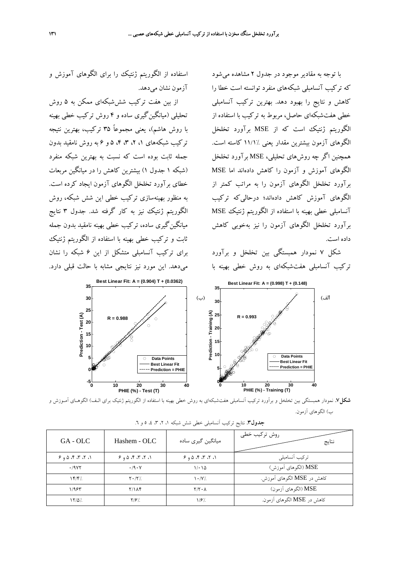

**شكل.7** نمودار همبستگي بين تخلخل <sup>و</sup> برآورد تركيب آنسامبلي هفتشبكهاي به روش خطي بهينه با استفاده از الگوريتم ژنتيك براي الـف) الگوهـاي آمـوزش <sup>و</sup> ب) الگوهاي آزمون.

| GA - OLC         | Hashem - OLC     | میانگین گیری ساده   | روش تركيب خطى<br>نتايج     |
|------------------|------------------|---------------------|----------------------------|
| 6, 7, 7, 7, 0, 9 | 6, 7, 7, 7, 0, 9 | 6, 7, 7, 7, 0, 8    | تركيب أنسامبلي             |
| .19YY            | .19.1            | 1/21                | MSE (الگوهای آموزش)        |
| Yf/f'.           | $Y \cdot / Y'$ . | $\mathcal{N}$ /Y/.  | كاهش در MSE الگوهای آموزش. |
| 1/955            | $Y/\lambda f$    | $Y/Y \cdot \Lambda$ | MSE (الگوهای اَزمون)       |
| $17/\Delta$      | Y/2              | 1/8                 | كاهش در MSE الگوهاي آزمون. |

| <b>جدول۳</b> نتایج ترکیب آنسامبل <sub>ی</sub> خطی شش شبکه ۱، ۲، ۳، ۷، ۵ و ۲. |  |  |  |  |
|------------------------------------------------------------------------------|--|--|--|--|
|------------------------------------------------------------------------------|--|--|--|--|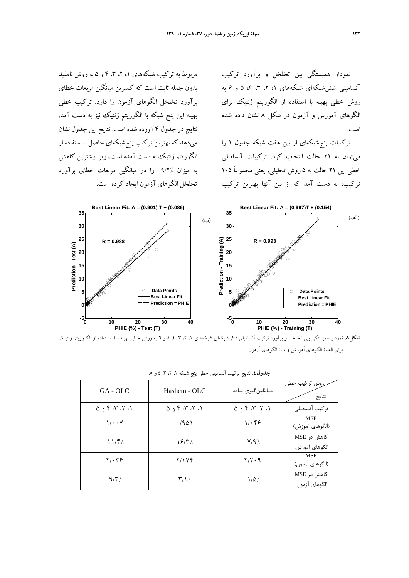نمودار همبستگي بين تخلخل و برآورد تركيب آنسامبلي شششبكهاي شبكههاي ،1 ،2 ،3 ،4 5 و 6 به روش خطي بهينه با استفاده از الگوريتم ژنتيك براي الگوهاي آموزش و آزمون در شكل 8 نشان داده شده است.

تركيبات پنجشبكهاي از بين هفت شبكه جدول 1 را ميتوان به 21 حالت انتخاب كرد. تركيبات آنسامبلي خطي اين 21 حالت به 5 روش تحليلي، يعني مجموعاً 105 تركيب، به دست آمد كه از بين آنها بهترين تركيب

مربوط به تركيب شبكههاي ،1 ،2 ،3 4 و 5 به روش نامقيد بدون جمله ثابت است كه كمترين ميانگين مربعات خطاي برآورد تخلخل الگوهاي آزمون را دارد. تركيب خطي بهينه اين پنج شبكه با الگوريتم ژنتيك نيز به دست آمد. نتايج در جدول 4 آورده شده است. نتايج اين جدول نشان ميدهد كه بهترين تركيب پنجشبكهاي حاصل با استفاده از الگوريتم ژنتيك به دست آمده است، زيرا بيشترين كاهش به ميزان 9/2% را در ميانگين مربعات خطاي برآورد تخلخل الگوهاي آزمون ايجاد كرده است.



**شكل.8** نمودار همبستگي بين تخلخل و برآورد تركيب آنسامبلي شششبكهاي شبكههاي ،1 ،2 ،3 ،4 5 و 6 به روش خطي بهينه بـا اسـتفاده از الگـوريتم ژنتيـك براي الف) الگوهاي آموزش و ب) الگوهاي آزمون.

| $GA - OLC$                      | Hashem - OLC           | میانگین گیری ساده               | روش تركيب خطى<br>نتايج        |
|---------------------------------|------------------------|---------------------------------|-------------------------------|
| $\Lambda$ , ۲، ۳، ۴ و $\Lambda$ | $\Lambda$ , ۳، ۳، ۴، ۵ | $\Lambda$ , ۲، ۳، ۴ و $\Lambda$ | تركيب أنسامبلي                |
| $1/\cdot \cdot V$               | .7901                  | 1.89                            | <b>MSE</b><br>(الگوهای آموزش) |
| $11/F$ .                        | $\frac{8}{\pi}$        | $Y$ /9 $\gamma$ .               | کاهش در MSE<br>الگوهای آموزش. |
| $Y/\cdot Y$ ۶                   | Y/1Yf                  | $Y/Y \cdot Y$                   | <b>MSE</b><br>(الگوهای آزمون) |
| 9/5                             | $\frac{1}{2}$          | $1/\Delta'.$                    | کاهش در MSE<br>الگوهای آزمون. |

|  |  | <b>جدول ٤.</b> نتایج ترکیب آنسامبلی خطی پنج شبکه ۱، ۲، ۳، ٤ و ۵. |  |
|--|--|------------------------------------------------------------------|--|
|--|--|------------------------------------------------------------------|--|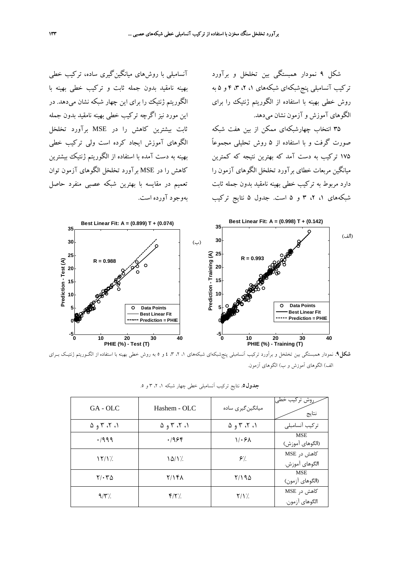شكل 9 نمودار همبستگي بين تخلخل و برآورد تركيب آنسامبلي پنجشبكهاي شبكههاي ،1 ،2 ،3 4 و 5 به روش خطي بهينه با استفاده از الگوريتم ژنتيك را براي الگوهاي آموزش و آزمون نشان ميدهد.

35 انتخاب چهارشبكهاي ممكن از بين هفت شبكه صورت گرفت و با استفاده از 5 روش تحليلي مجموعاً 175 تركيب به دست آمد كه بهترين نتيجه كه كمترين ميانگين مربعات خطاي برآورد تخلخل الگوهاي آزمون را دارد مربوط به تركيب خطي بهينه نامقيد بدون جمله ثابت شبكههاي ،1 ،2 3 و 5 است. جدول 5 نتايج تركيب

آنسامبلي با روشهاي ميانگينگيري ساده، تركيب خطي بهينه نامقيد بدون جمله ثابت و تركيب خطي بهينه با الگوريتم ژنتيك را براي اين چهار شبكه نشان ميدهد. در اين مورد نيز اگرچه تركيب خطي بهينه نامقيد بدون جمله ثابت بيشترين كاهش را در MSE برآورد تخلخل الگوهاي آموزش ايجاد كرده است ولي تركيب خطي بهينه به دست آمده با استفاده از الگوريتم ژنتيك بيشترين كاهش را در MSE برآورد تخلخل الگوهاي آزمون توان تعميم در مقايسه با بهترين شبكه عصبي منفرد حاصل بهوجود آورده است.



**شكل.9** نمودار همبستگي بين تخلخل و برآورد تركيب آنسامبلي پنجشبكهاي شبكههاي ،1 ،2 ،3 4 و 5 به روش خطي بهينه با استفاده از الگـوريتم ژنتيـك بـراي الف) الگوهاي آموزش و ب) الگوهاي آزمون.

| GA - OLC                                      | Hashem - OLC            | میانگین گیری ساده                             | روش تركيب خطى<br>نتايج        |
|-----------------------------------------------|-------------------------|-----------------------------------------------|-------------------------------|
| $\Delta$ , $\Upsilon$ , $\Upsilon$ , $\Delta$ | ۰۱، ۲، ۳ و ۵            | $\Delta$ , $\Upsilon$ , $\Upsilon$ , $\Delta$ | تركيب آنسامبلي                |
| .7999                                         | .1956                   | 1.5A                                          | <b>MSE</b><br>(الگوهای آموزش) |
| $\frac{1}{\sqrt{2}}$                          | $\frac{\Delta}{\Delta}$ | $\mathcal{F}^{\prime}$                        | کاهش د, MSE<br>الگوهای آموزش. |
| $Y/\cdot Y\Delta$                             | Y/YFA                   | ۲/۱۹۵                                         | <b>MSE</b><br>(الگوهای آزمون) |
| $9/\tilde{r}$ .                               | Y/Y                     | $Y/Y$ .                                       | کاهش در MSE<br>الگوهای آزمون. |

|  | <b>جدول0.</b> نتایج ترکیب آنسامبلی خطی چهار شبکه ۱، ۲، ۳ و ۵. |  |  |  |
|--|---------------------------------------------------------------|--|--|--|
|  |                                                               |  |  |  |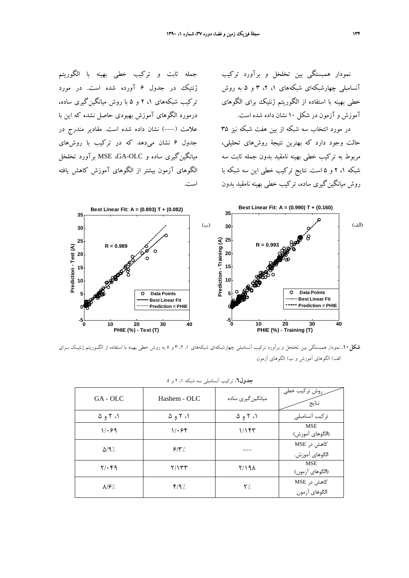نمودار همبستگي بين تخلخل و برآورد تركيب آنسامبلي چهارشبكهاي شبكههاي ،1 ،2 3 و 5 به روش خطي بهينه با استفاده از الگوريتم ژنتيك براي الگوهاي آموزش و آزمون در شكل 10 نشان داده شده است.

در مورد انتخاب سه شبكه از بين هفت شبكه نيز 35 حالت وجود دارد كه بهترين نتيجة روشهاي تحليلي، مربوط به تركيب خطي بهينه نامقيد بدون جمله ثابت سه شبكه ،1 2 و 5 است. نتايج تركيب خطي اين سه شبكه با روش ميانگينگيري ساده، تركيب خطي بهينه نامقيد بدون

جمله ثابت و تركيب خطي بهينه با الگوريتم ژنتيك در جدول 6 آورده شده است. در مورد تركيب شبكههاي ،1 2 و 5 با روش ميانگينگيري ساده، درمورد الگوهاي آموزش بهبودي حاصل نشده كه اين با علامت (---) نشان داده شده است. مقادير مندرج در جدول 6 نشان ميدهد كه در تركيب با روشهاي ميانگينگيري ساده و OLC-GA، MSE برآورد تخلخل الگوهاي آزمون بيشتر از الگوهاي آموزش كاهش يافته است.



**شكل.10** نمودار همبستگي بين تخلخل و برآورد تركيب آنسامبلي چهارشبكهاي شبكههاي ،1 ،2 3 و 5 به روش خطي بهينه با استفاده از الگـوريتم ژنتيـك بـراي الف) الگوهاي آموزش و ب) الگوهاي آزمون.

| GA - OLC                        | Hashem - OLC                    | میانگین گیری ساده               | <sub>ر</sub> روش ترکیب خطی<br>نتايج |
|---------------------------------|---------------------------------|---------------------------------|-------------------------------------|
| $\Delta$ 9 $\Upsilon$ $\Lambda$ | $\Delta$ 9 $\Upsilon$ $\Lambda$ | $\Delta$ 9 $\Upsilon$ $\Lambda$ | تركيب أنسامبلي                      |
| 1.99                            | 1.58                            | ۱/۱۴۳                           | <b>MSE</b><br>(الگوهای آموزش)       |
| $\Delta$ /9'/                   | 9/3                             |                                 | کاهش در MSE<br>الگوهای آموزش.       |
| $Y/\cdot$ ۴۹                    | ۲/۱۳۳                           | 1/191                           | <b>MSE</b><br>(الگوهای آزمون)       |
| $\lambda$ / $\mathcal{F}'$ .    | $Y$ /9'/                        | ۲٪.                             | کاهش در MSE<br>الگوهای آزمون.       |

**جدول.6** تركيب آنسامبلي سه شبكه ،1 2 و .5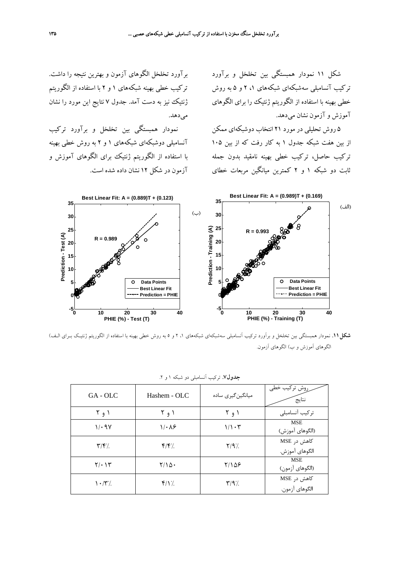شكل 11 نمودار همبستگي بين تخلخل و برآورد تركيب آنسامبلي سهشبكهاي شبكههاي ،1 2 و 5 به روش خطي بهينه با استفاده از الگوريتم ژنتيك را براي الگوهاي آموزش و آزمون نشان ميدهد.

5 روش تحليلي در مورد 21 انتخاب دوشبكهاي ممكن از بين هفت شبكه جدول 1 به كار رفت كه از بين 105 تركيب حاصل، تركيب خطي بهينه نامقيد بدون جمله ثابت دو شبكه 1 و 2 كمترين ميانگين مربعات خطاي

برآورد تخلخل الگوهاي آزمون و بهترين نتيجه را داشت. تركيب خطي بهينه شبكههاي 1 و 2 با استفاده از الگوريتم ژنتيك نيز به دست آمد. جدول 7 نتايج اين مورد را نشان مي دهد.

نمودار همبستگي بين تخلخل و برآورد تركيب آنسامبلي دوشبكهاي شبكههاي 1 و 2 به روش خطي بهينه با استفاده از الگوريتم ژنتيك براي الگوهاي آموزش و آزمون در شكل 12 نشان داده شده است.



**شكل.11** نمودار همبستگي بين تخلخل و برآورد تركيب آنسامبلي سهشبكهاي شبكههاي ،1 2 و 5 به روش خطي بهينه با استفاده از الگوريتم ژنتيـك بـراي الـف) الگوهاي آموزش و ب) الگوهاي آزمون.

| GA - OLC                        | Hashem - OLC        | میانگین گیری ساده | روش تركيب خطى<br>نتايج        |  |  |
|---------------------------------|---------------------|-------------------|-------------------------------|--|--|
| ۱ و ۲                           | ۱ و ۲               | ۱ و ۲             | تركيب أنسامبلي                |  |  |
| 1/29                            | $1/\cdot \lambda$ ۶ | $1/\sqrt{1+\tau}$ | <b>MSE</b><br>(الگوهای آموزش) |  |  |
| $\mathbf{Y}/\mathbf{Y}$         | f/f'.               | $Y/9$ %           | كاهش در MSE<br>الگوهای آموزش. |  |  |
| 7/2                             | $Y/\Delta$ .        | ۲/۱۵۶             | <b>MSE</b><br>(الگوهای آزمون) |  |  |
| $\mathcal{N} \cdot \mathcal{N}$ | $Y/Y$ .             | $Y$ /9%           | کاهش در MSE<br>الگوهای آزمون. |  |  |

| جدول۷. ترکیب آنسامبلی دو شبکه ۱ و ۲. |  |
|--------------------------------------|--|
|--------------------------------------|--|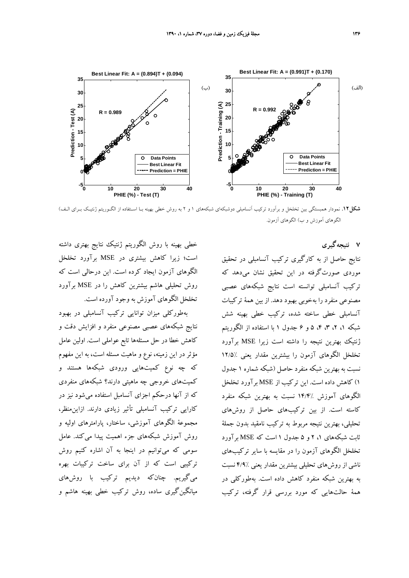

**شكل.12** نمودار همبستگي بين تخلخل و برآورد تركيب آنسامبلي دوشبكهاي شبكههاي 1 و 2 به روش خطي بهينه بـا اسـتفاده از الگـوريتم ژنتيـك بـراي الـف) الگوهاي آموزش و ب) الگوهاي آزمون.

خطي بهينه با روش الگوريتم ژنتيك نتايج بهتري داشته است؛ زيرا كاهش بيشتري در MSE برآورد تخلخل الگوهاي آزمون ايجاد كرده است. اين درحالي است كه روش تحليلي هاشم بيشترين كاهش را در MSE برآورد تخلخل الگوهاي آموزش به وجود آورده است.

بهطوركلي ميزان توانايي تركيب آنسامبلي در بهبود نتايج شبكههاي عصبي مصنوعي منفرد و افزايش دقت و كاهش خطا در حل مسئلهها تابع عواملي است. اولين عامل مؤثر در اين زمينه، نوع و ماهيت مسئله است، به اين مفهوم كه چه نوع كميتهايي ورودي شبكهها هستند و كميتهاي خروجي چه ماهيتي دارند؟ شبكههاي منفردي كه از آنها درحكم اجزاي آنسامبل استفاده ميشود نيز در كارايي تركيب آنسامبلي تأثير زيادي دارند. ازاينمنظر، مجموعة الگوهاي آموزشي، ساختار، پارامترهاي اوليه و روش آموزش شبكههاي جزء اهميت پيدا ميكند. عامل سومي كه ميتوانيم در اينجا به آن اشاره كنيم روش تركيبي است كه از آن براي ساخت تركيبات بهره ميگيريم. چنانكه ديديم تركيب با روشهاي ميانگينگيري ساده، روش تركيب خطي بهينه هاشم و

**7 نتيجهگيري**  نتايج حاصل از به كارگيري تركيب آنسامبلي در تحقيق موردي صورتگرفته در اين تحقيق نشان ميدهد كه تركيب آنسامبلي توانسته است نتايج شبكههاي عصبي مصنوعي منفرد را بهخوبي بهبود دهد. از بين همة تركيبات آنسامبلي خطي ساخته شده، تركيب خطي بهينه شش شبكه ،1 ،2 ،3 ،4 5 و 6 جدول 1 با استفاده از الگوريتم ژنتيك بهترين نتيجه را داشته است زيرا MSE برآورد تخلخل الگوهاي آزمون را بيشترين مقدار يعني 12/5% نسبت به بهترين شبكه منفرد حاصل (شبكه شماره 1 جدول 1) كاهش داده است. اين تركيب از MSE برآورد تخلخل الگوهاي آموزش 14/4% نسبت به بهترين شبكه منفرد كاسته است. از بين تركيبهاي حاصل از روشهاي تحليلي، بهترين نتيجه مربوط به تركيب نامقيد بدون جملة ثابت شبكههاي ،1 2 و 5 جدول 1 است كه MSE برآورد تخلخل الگوهاي آزمون را در مقايسه با ساير تركيبهاي ناشي از روشهاي تحليلي بيشترين مقدار يعني 4/9% نسبت به بهترين شبكه منفرد كاهش داده است. بهطوركلي در همة حالتهايي كه مورد بررسي قرار گرفته، تركيب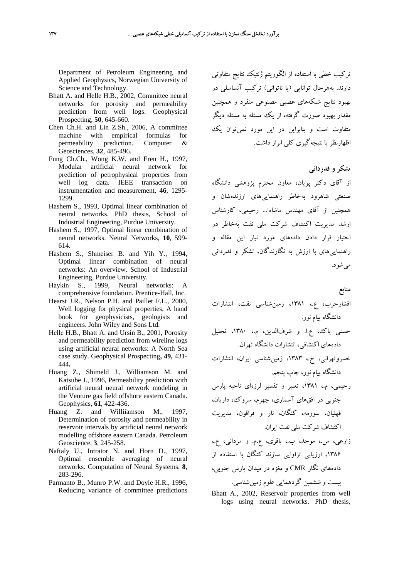Department of Petroleum Engineering and Applied Geophysics, Norwegian University of Science and Technology.

- Bhatt A. and Helle H.B., 2002, Committee neural networks for porosity and permeability prediction from well logs. Geophysical Prospecting, **50**, 645-660.
- Chen Ch.H. and Lin Z.Sh., 2006, A committee machine with empirical formulas for permeability prediction. Computer & Geosciences, **32**, 485-496.
- Fung Ch.Ch., Wong K.W. and Eren H., 1997, Modular artificial neural network for prediction of petrophysical properties from well log data. IEEE transaction on instrumentation and measurement, **46**, 1295- 1299.
- Hashem S., 1993, Optimal linear combination of neural networks. PhD thesis, School of Industrial Engineering, Purdue University.
- Hashem S., 1997, Optimal linear combination of neural networks. Neural Networks, **10**, 599- 614.
- Hashem S., Shmeiser B. and Yih Y., 1994, Optimal linear combination of neural networks: An overview. School of Industrial Engineering, Purdue University.
- Haykin S., 1999, Neural networks: A comprehensive foundation. Prentice-Hall, Inc.
- Hearst J.R., Nelson P.H. and Paillet F.L., 2000, Well logging for physical properties, A hand book for geophysicists, geologists and engineers. John Wiley and Sons Ltd.
- Helle H.B., Bhatt A. and Ursin B., 2001, Porosity and permeability prediction from wireline logs using artificial neural networks: A North Sea case study. Geophysical Prospecting**, 49,** 431- 444**.**
- Huang Z., Shimeld J., Williamson M. and Katsube J., 1996, Permeability prediction with artificial neural neural network modeling in the Venture gas field offshore eastern Canada. Geophysics, **61**, 422-436.
- Huang Z. and Williiamson M., 1997, Determination of porosity and permeability in reservoir intervals by artificial neural network modelling offshore eastern Canada. Petroleum Geoscience, **3**, 245-258.
- Naftaly U., Intrator N. and Horn D., 1997, Optimal ensemble averaging of neural networks. Computation of Neural Systems, **8**, 283-296.
- Parmanto B., Munro P.W. and Doyle H.R., 1996, Reducing variance of committee predictions

تركيب خطي با استفاده از الگوريتم ژنتيك نتايج متفاوتي دارند. بههرحال توانايي (يا ناتواني) تركيب آنسامبلي در بهبود نتايج شبكههاي عصبي مصنوعي منفرد و همچنين مقدار بهبود صورت گرفته، از يك مسئله به مسئله ديگر متفاوت است و بنابراين در اين مورد نميتوان يك اظهارِنظريا نتيجهگيري كلي ابراز داشت.

## **تشكر و قدرداني**

از آقاي دكتر پويان، معاون محترم پژوهشي دانشگاه صنعتي شاهرود بهخاطر راهنماييهاي ارزندهشان و همچنين از آقاي مهندس ماشاءا... رحيمي، كارشناس ارشد مديريت اكتشاف شركت ملي نفت بهخاطر در اختيار قرار دادن دادههاي مورد نياز اين مقاله و راهنماييهاي با ارزش به نگارندگان، تشكر و قدرداني ميشود.

#### **منابع**

افشارحرب، ع،. ،1381 زمينشناسي نفت، انتشارات دانشگاه پيام نور.

- حسني پاك، ع.ا. و شرفالدين، م،. ،1380 تحليل دادههاي اكتشافي، انتشارات دانشگاه تهران.
- خسروتهراني، خ،. ،1383 زمينشناسي ايران، انتشارات دانشگاه پيام نور، چاپ پنجم.
- رحيمي، م،. ،1381 تعبير و تفسير لرزهاي ناحيه پارس جنوبي در افقهاي آسماري، جهرم، سروك، داريان، فهليان، سورمه، كنگان، نار و فراقون، مديريت اكتشاف شركت ملي نفت ايران.
- زارعي، س،. موحد، ب،. باقري، ع.م. و مرداني، ع،. ،1386 ارزيابي تراوايي سازند كنگان با استفاده از دادههاي نگار CMR و مغزه در ميدان پارس جنوبي، بيست و ششمين گردهمايي علوم زمينشناسي.
- Bhatt A., 2002, Reservoir properties from well logs using neural networks. PhD thesis,